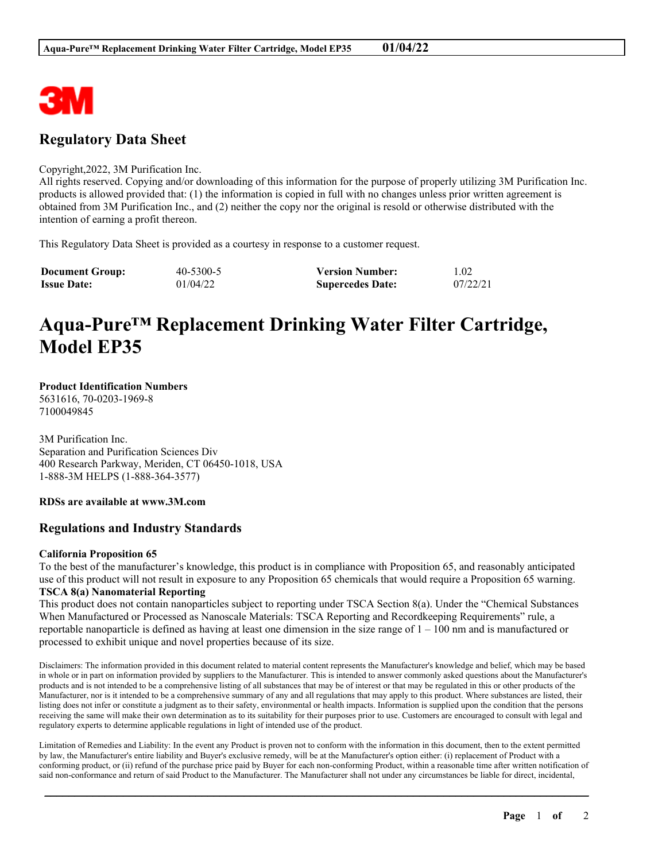

## **Regulatory Data Sheet**

## Copyright,2022, 3M Purification Inc.

All rights reserved. Copying and/or downloading of this information for the purpose of properly utilizing 3M Purification Inc. products is allowed provided that: (1) the information is copied in full with no changes unless prior written agreement is obtained from 3M Purification Inc., and (2) neither the copy nor the original is resold or otherwise distributed with the intention of earning a profit thereon.

This Regulatory Data Sheet is provided as a courtesy in response to a customer request.

| <b>Document Group:</b> | 40-5300-5 | <b>Version Number:</b>  | 1.02     |
|------------------------|-----------|-------------------------|----------|
| <b>Issue Date:</b>     | 01/04/22  | <b>Supercedes Date:</b> | 07/22/21 |

# **Aqua-Pure™ Replacement Drinking Water Filter Cartridge, Model EP35**

#### **Product Identification Numbers** 5631616, 70-0203-1969-8

7100049845

3M Purification Inc. Separation and Purification Sciences Div 400 Research Parkway, Meriden, CT 06450-1018, USA 1-888-3M HELPS (1-888-364-3577)

**RDSs are available at www.3M.com**

## **Regulations and Industry Standards**

### **California Proposition 65**

To the best of the manufacturer's knowledge, this product is in compliance with Proposition 65, and reasonably anticipated use of this product will not result in exposure to any Proposition 65 chemicals that would require a Proposition 65 warning. **TSCA 8(a) Nanomaterial Reporting**

This product does not contain nanoparticles subject to reporting under TSCA Section 8(a). Under the "Chemical Substances When Manufactured or Processed as Nanoscale Materials: TSCA Reporting and Recordkeeping Requirements" rule, a reportable nanoparticle is defined as having at least one dimension in the size range of  $1 - 100$  nm and is manufactured or processed to exhibit unique and novel properties because of its size.

Disclaimers: The information provided in this document related to material content represents the Manufacturer's knowledge and belief, which may be based in whole or in part on information provided by suppliers to the Manufacturer. This is intended to answer commonly asked questions about the Manufacturer's products and is not intended to be a comprehensive listing of all substances that may be of interest or that may be regulated in this or other products of the Manufacturer, nor is it intended to be a comprehensive summary of any and all regulations that may apply to this product. Where substances are listed, their listing does not infer or constitute a judgment as to their safety, environmental or health impacts. Information is supplied upon the condition that the persons receiving the same will make their own determination as to its suitability for their purposes prior to use. Customers are encouraged to consult with legal and regulatory experts to determine applicable regulations in light of intended use of the product.

Limitation of Remedies and Liability: In the event any Product is proven not to conform with the information in this document, then to the extent permitted by law, the Manufacturer's entire liability and Buyer's exclusive remedy, will be at the Manufacturer's option either: (i) replacement of Product with a conforming product, or (ii) refund of the purchase price paid by Buyer for each non-conforming Product, within a reasonable time after written notification of said non-conformance and return of said Product to the Manufacturer. The Manufacturer shall not under any circumstances be liable for direct, incidental,

\_\_\_\_\_\_\_\_\_\_\_\_\_\_\_\_\_\_\_\_\_\_\_\_\_\_\_\_\_\_\_\_\_\_\_\_\_\_\_\_\_\_\_\_\_\_\_\_\_\_\_\_\_\_\_\_\_\_\_\_\_\_\_\_\_\_\_\_\_\_\_\_\_\_\_\_\_\_\_\_\_\_\_\_\_\_\_\_\_\_